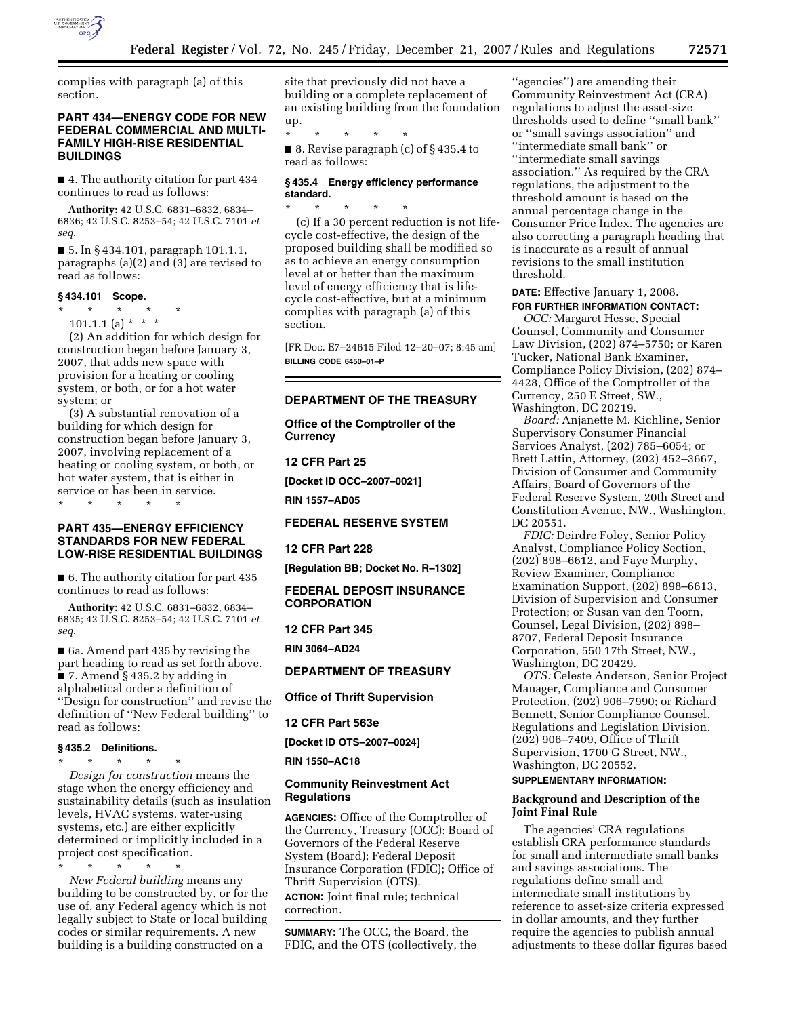

complies with paragraph (a) of this section.

# **PART 434—ENERGY CODE FOR NEW FEDERAL COMMERCIAL AND MULTI-FAMILY HIGH-RISE RESIDENTIAL BUILDINGS**

■ 4. The authority citation for part 434 continues to read as follows:

**Authority:** 42 U.S.C. 6831–6832, 6834– 6836; 42 U.S.C. 8253–54; 42 U.S.C. 7101 *et seq.* 

■ 5. In § 434.101, paragraph 101.1.1, paragraphs (a)(2) and (3) are revised to read as follows:

#### **§ 434.101 Scope.**

\* \* \* \* \*

101.1.1 (a) \* \* \* (2) An addition for which design for construction began before January 3, 2007, that adds new space with provision for a heating or cooling system, or both, or for a hot water system; or

(3) A substantial renovation of a building for which design for construction began before January 3, 2007, involving replacement of a heating or cooling system, or both, or hot water system, that is either in service or has been in service.

\* \* \* \* \*

# **PART 435—ENERGY EFFICIENCY STANDARDS FOR NEW FEDERAL LOW-RISE RESIDENTIAL BUILDINGS**

■ 6. The authority citation for part 435 continues to read as follows:

**Authority:** 42 U.S.C. 6831–6832, 6834– 6835; 42 U.S.C. 8253–54; 42 U.S.C. 7101 *et seq.* 

■ 6a. Amend part 435 by revising the part heading to read as set forth above.  $\bullet$  7. Amend § 435.2 by adding in alphabetical order a definition of ''Design for construction'' and revise the definition of ''New Federal building'' to read as follows:

#### **§ 435.2 Definitions.**

\* \* \* \* \*

*Design for construction* means the stage when the energy efficiency and sustainability details (such as insulation levels, HVAC systems, water-using systems, etc.) are either explicitly determined or implicitly included in a project cost specification.

\* \* \* \* \* *New Federal building* means any building to be constructed by, or for the use of, any Federal agency which is not legally subject to State or local building codes or similar requirements. A new building is a building constructed on a

site that previously did not have a building or a complete replacement of an existing building from the foundation up.

\* \* \* \* \* ■ 8. Revise paragraph (c) of § 435.4 to read as follows:

# **§ 435.4 Energy efficiency performance standard.**

\* \* \* \* \* (c) If a 30 percent reduction is not lifecycle cost-effective, the design of the proposed building shall be modified so as to achieve an energy consumption level at or better than the maximum level of energy efficiency that is lifecycle cost-effective, but at a minimum complies with paragraph (a) of this section.

[FR Doc. E7–24615 Filed 12–20–07; 8:45 am] **BILLING CODE 6450–01–P** 

# **DEPARTMENT OF THE TREASURY**

**Office of the Comptroller of the Currency** 

#### **12 CFR Part 25**

**[Docket ID OCC–2007–0021]** 

**RIN 1557–AD05** 

# **FEDERAL RESERVE SYSTEM**

**12 CFR Part 228** 

**[Regulation BB; Docket No. R–1302]** 

**FEDERAL DEPOSIT INSURANCE CORPORATION** 

#### **12 CFR Part 345**

**RIN 3064–AD24** 

# **DEPARTMENT OF TREASURY**

**Office of Thrift Supervision** 

#### **12 CFR Part 563e**

**[Docket ID OTS–2007–0024]** 

#### **RIN 1550–AC18**

# **Community Reinvestment Act Regulations**

**AGENCIES:** Office of the Comptroller of the Currency, Treasury (OCC); Board of Governors of the Federal Reserve System (Board); Federal Deposit Insurance Corporation (FDIC); Office of Thrift Supervision (OTS).

**ACTION:** Joint final rule; technical correction.

**SUMMARY:** The OCC, the Board, the FDIC, and the OTS (collectively, the

''agencies'') are amending their Community Reinvestment Act (CRA) regulations to adjust the asset-size thresholds used to define ''small bank'' or ''small savings association'' and ''intermediate small bank'' or ''intermediate small savings association.'' As required by the CRA regulations, the adjustment to the threshold amount is based on the annual percentage change in the Consumer Price Index. The agencies are also correcting a paragraph heading that is inaccurate as a result of annual revisions to the small institution threshold.

# **DATE:** Effective January 1, 2008. **FOR FURTHER INFORMATION CONTACT:**

*OCC:* Margaret Hesse, Special Counsel, Community and Consumer Law Division, (202) 874–5750; or Karen Tucker, National Bank Examiner, Compliance Policy Division, (202) 874– 4428, Office of the Comptroller of the Currency, 250 E Street, SW., Washington, DC 20219.

*Board:* Anjanette M. Kichline, Senior Supervisory Consumer Financial Services Analyst, (202) 785–6054; or Brett Lattin, Attorney, (202) 452–3667, Division of Consumer and Community Affairs, Board of Governors of the Federal Reserve System, 20th Street and Constitution Avenue, NW., Washington, DC 20551.

*FDIC:* Deirdre Foley, Senior Policy Analyst, Compliance Policy Section, (202) 898–6612, and Faye Murphy, Review Examiner, Compliance Examination Support, (202) 898–6613, Division of Supervision and Consumer Protection; or Susan van den Toorn, Counsel, Legal Division, (202) 898– 8707, Federal Deposit Insurance Corporation, 550 17th Street, NW., Washington, DC 20429.

*OTS:* Celeste Anderson, Senior Project Manager, Compliance and Consumer Protection, (202) 906–7990; or Richard Bennett, Senior Compliance Counsel, Regulations and Legislation Division, (202) 906–7409, Office of Thrift Supervision, 1700 G Street, NW., Washington, DC 20552.

#### **SUPPLEMENTARY INFORMATION:**

## **Background and Description of the Joint Final Rule**

The agencies' CRA regulations establish CRA performance standards for small and intermediate small banks and savings associations. The regulations define small and intermediate small institutions by reference to asset-size criteria expressed in dollar amounts, and they further require the agencies to publish annual adjustments to these dollar figures based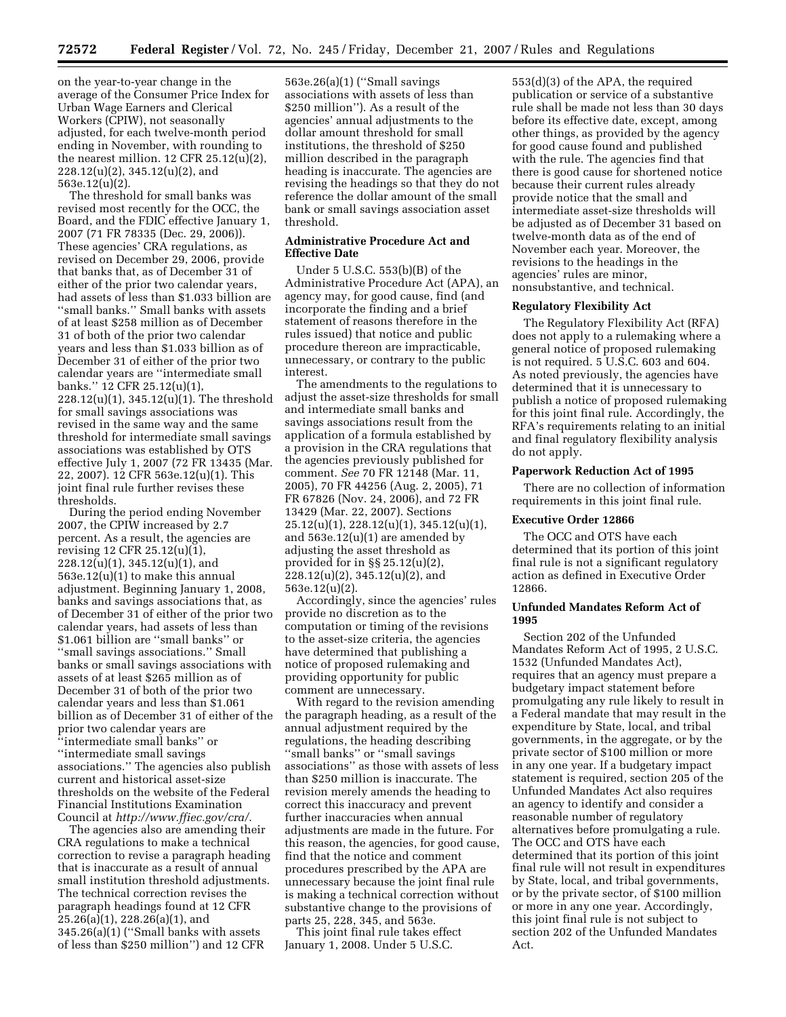on the year-to-year change in the average of the Consumer Price Index for Urban Wage Earners and Clerical Workers (CPIW), not seasonally adjusted, for each twelve-month period ending in November, with rounding to the nearest million. 12 CFR 25.12(u)(2), 228.12(u)(2), 345.12(u)(2), and 563e.12(u)(2).

The threshold for small banks was revised most recently for the OCC, the Board, and the FDIC effective January 1, 2007 (71 FR 78335 (Dec. 29, 2006)). These agencies' CRA regulations, as revised on December 29, 2006, provide that banks that, as of December 31 of either of the prior two calendar years, had assets of less than \$1.033 billion are ''small banks.'' Small banks with assets of at least \$258 million as of December 31 of both of the prior two calendar years and less than \$1.033 billion as of December 31 of either of the prior two calendar years are ''intermediate small banks.'' 12 CFR 25.12(u)(1), 228.12(u)(1), 345.12(u)(1). The threshold for small savings associations was revised in the same way and the same threshold for intermediate small savings associations was established by OTS effective July 1, 2007 (72 FR 13435 (Mar. 22, 2007). 12 CFR 563e.12(u)(1). This joint final rule further revises these thresholds.

During the period ending November 2007, the CPIW increased by 2.7 percent. As a result, the agencies are revising 12 CFR 25.12(u)(1), 228.12(u)(1), 345.12(u)(1), and 563e.12(u)(1) to make this annual adjustment. Beginning January 1, 2008, banks and savings associations that, as of December 31 of either of the prior two calendar years, had assets of less than \$1.061 billion are ''small banks'' or ''small savings associations.'' Small banks or small savings associations with assets of at least \$265 million as of December 31 of both of the prior two calendar years and less than \$1.061 billion as of December 31 of either of the prior two calendar years are ''intermediate small banks'' or ''intermediate small savings associations.'' The agencies also publish current and historical asset-size thresholds on the website of the Federal Financial Institutions Examination Council at *http://www.ffiec.gov/cra/*.

The agencies also are amending their CRA regulations to make a technical correction to revise a paragraph heading that is inaccurate as a result of annual small institution threshold adjustments. The technical correction revises the paragraph headings found at 12 CFR 25.26(a)(1), 228.26(a)(1), and 345.26(a)(1) (''Small banks with assets of less than \$250 million'') and 12 CFR

563e.26(a)(1) (''Small savings associations with assets of less than \$250 million''). As a result of the agencies' annual adjustments to the dollar amount threshold for small institutions, the threshold of \$250 million described in the paragraph heading is inaccurate. The agencies are revising the headings so that they do not reference the dollar amount of the small bank or small savings association asset threshold.

# **Administrative Procedure Act and Effective Date**

Under 5 U.S.C. 553(b)(B) of the Administrative Procedure Act (APA), an agency may, for good cause, find (and incorporate the finding and a brief statement of reasons therefore in the rules issued) that notice and public procedure thereon are impracticable, unnecessary, or contrary to the public interest.

The amendments to the regulations to adjust the asset-size thresholds for small and intermediate small banks and savings associations result from the application of a formula established by a provision in the CRA regulations that the agencies previously published for comment. *See* 70 FR 12148 (Mar. 11, 2005), 70 FR 44256 (Aug. 2, 2005), 71 FR 67826 (Nov. 24, 2006), and 72 FR 13429 (Mar. 22, 2007). Sections 25.12(u)(1), 228.12(u)(1), 345.12(u)(1), and 563e.12(u)(1) are amended by adjusting the asset threshold as provided for in §§ 25.12(u)(2), 228.12(u)(2), 345.12(u)(2), and 563e.12(u)(2).

Accordingly, since the agencies' rules provide no discretion as to the computation or timing of the revisions to the asset-size criteria, the agencies have determined that publishing a notice of proposed rulemaking and providing opportunity for public comment are unnecessary.

With regard to the revision amending the paragraph heading, as a result of the annual adjustment required by the regulations, the heading describing ''small banks'' or ''small savings associations'' as those with assets of less than \$250 million is inaccurate. The revision merely amends the heading to correct this inaccuracy and prevent further inaccuracies when annual adjustments are made in the future. For this reason, the agencies, for good cause, find that the notice and comment procedures prescribed by the APA are unnecessary because the joint final rule is making a technical correction without substantive change to the provisions of parts 25, 228, 345, and 563e.

This joint final rule takes effect January 1, 2008. Under 5 U.S.C.

553(d)(3) of the APA, the required publication or service of a substantive rule shall be made not less than 30 days before its effective date, except, among other things, as provided by the agency for good cause found and published with the rule. The agencies find that there is good cause for shortened notice because their current rules already provide notice that the small and intermediate asset-size thresholds will be adjusted as of December 31 based on twelve-month data as of the end of November each year. Moreover, the revisions to the headings in the agencies' rules are minor, nonsubstantive, and technical.

#### **Regulatory Flexibility Act**

The Regulatory Flexibility Act (RFA) does not apply to a rulemaking where a general notice of proposed rulemaking is not required. 5 U.S.C. 603 and 604. As noted previously, the agencies have determined that it is unnecessary to publish a notice of proposed rulemaking for this joint final rule. Accordingly, the RFA's requirements relating to an initial and final regulatory flexibility analysis do not apply.

#### **Paperwork Reduction Act of 1995**

There are no collection of information requirements in this joint final rule.

#### **Executive Order 12866**

The OCC and OTS have each determined that its portion of this joint final rule is not a significant regulatory action as defined in Executive Order 12866.

# **Unfunded Mandates Reform Act of 1995**

Section 202 of the Unfunded Mandates Reform Act of 1995, 2 U.S.C. 1532 (Unfunded Mandates Act), requires that an agency must prepare a budgetary impact statement before promulgating any rule likely to result in a Federal mandate that may result in the expenditure by State, local, and tribal governments, in the aggregate, or by the private sector of \$100 million or more in any one year. If a budgetary impact statement is required, section 205 of the Unfunded Mandates Act also requires an agency to identify and consider a reasonable number of regulatory alternatives before promulgating a rule. The OCC and OTS have each determined that its portion of this joint final rule will not result in expenditures by State, local, and tribal governments, or by the private sector, of \$100 million or more in any one year. Accordingly, this joint final rule is not subject to section 202 of the Unfunded Mandates Act.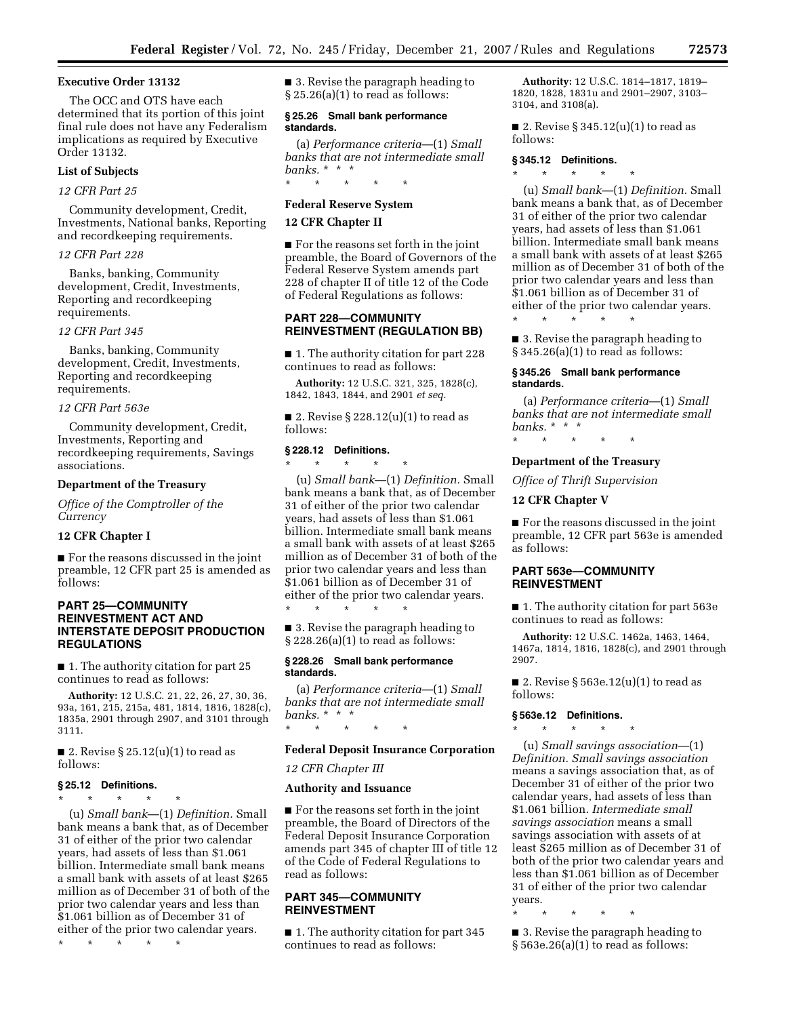# **Executive Order 13132**

The OCC and OTS have each determined that its portion of this joint final rule does not have any Federalism implications as required by Executive Order 13132.

# **List of Subjects**

# *12 CFR Part 25*

Community development, Credit, Investments, National banks, Reporting and recordkeeping requirements.

# *12 CFR Part 228*

Banks, banking, Community development, Credit, Investments, Reporting and recordkeeping requirements.

#### *12 CFR Part 345*

Banks, banking, Community development, Credit, Investments, Reporting and recordkeeping requirements.

#### *12 CFR Part 563e*

Community development, Credit, Investments, Reporting and recordkeeping requirements, Savings associations.

# **Department of the Treasury**

*Office of the Comptroller of the Currency* 

# **12 CFR Chapter I**

■ For the reasons discussed in the joint preamble, 12 CFR part 25 is amended as follows:

# **PART 25—COMMUNITY REINVESTMENT ACT AND INTERSTATE DEPOSIT PRODUCTION REGULATIONS**

■ 1. The authority citation for part 25 continues to read as follows:

**Authority:** 12 U.S.C. 21, 22, 26, 27, 30, 36, 93a, 161, 215, 215a, 481, 1814, 1816, 1828(c), 1835a, 2901 through 2907, and 3101 through 3111.

■ 2. Revise § 25.12(u)(1) to read as follows:

#### **§ 25.12 Definitions.**

\* \* \* \* \*

(u) *Small bank*—(1) *Definition.* Small bank means a bank that, as of December 31 of either of the prior two calendar years, had assets of less than \$1.061 billion. Intermediate small bank means a small bank with assets of at least \$265 million as of December 31 of both of the prior two calendar years and less than \$1.061 billion as of December 31 of either of the prior two calendar years.

\* \* \* \* \*

■ 3. Revise the paragraph heading to § 25.26(a)(1) to read as follows:

## **§ 25.26 Small bank performance standards.**

(a) *Performance criteria*—(1) *Small banks that are not intermediate small banks.* \* \* \*

# \* \* \* \* \* **Federal Reserve System**

#### **12 CFR Chapter II**

■ For the reasons set forth in the joint preamble, the Board of Governors of the Federal Reserve System amends part 228 of chapter II of title 12 of the Code of Federal Regulations as follows:

# **PART 228—COMMUNITY REINVESTMENT (REGULATION BB)**

■ 1. The authority citation for part 228 continues to read as follows:

**Authority:** 12 U.S.C. 321, 325, 1828(c), 1842, 1843, 1844, and 2901 *et seq.* 

■ 2. Revise § 228.12(u)(1) to read as follows:

#### **§ 228.12 Definitions.**

\* \* \* \* \* (u) *Small bank*—(1) *Definition.* Small bank means a bank that, as of December 31 of either of the prior two calendar years, had assets of less than \$1.061 billion. Intermediate small bank means a small bank with assets of at least \$265 million as of December 31 of both of the prior two calendar years and less than \$1.061 billion as of December 31 of either of the prior two calendar years. \* \* \* \* \*

■ 3. Revise the paragraph heading to § 228.26(a)(1) to read as follows:

## **§ 228.26 Small bank performance standards.**

(a) *Performance criteria*—(1) *Small banks that are not intermediate small banks.* \* \* \*

#### **Federal Deposit Insurance Corporation**

*12 CFR Chapter III* 

#### **Authority and Issuance**

\* \* \* \* \*

■ For the reasons set forth in the joint preamble, the Board of Directors of the Federal Deposit Insurance Corporation amends part 345 of chapter III of title 12 of the Code of Federal Regulations to read as follows:

# **PART 345—COMMUNITY REINVESTMENT**

■ 1. The authority citation for part 345 continues to read as follows:

**Authority:** 12 U.S.C. 1814–1817, 1819– 1820, 1828, 1831u and 2901–2907, 3103– 3104, and 3108(a).

■ 2. Revise § 345.12(u)(1) to read as follows:

## **§ 345.12 Definitions.**

\* \* \* \* \*

(u) *Small bank*—(1) *Definition.* Small bank means a bank that, as of December 31 of either of the prior two calendar years, had assets of less than \$1.061 billion. Intermediate small bank means a small bank with assets of at least \$265 million as of December 31 of both of the prior two calendar years and less than \$1.061 billion as of December 31 of either of the prior two calendar years. \* \* \* \* \*

■ 3. Revise the paragraph heading to § 345.26(a)(1) to read as follows:

#### **§ 345.26 Small bank performance standards.**

(a) *Performance criteria*—(1) *Small banks that are not intermediate small banks.* \* \* \*

\* \* \* \* \*

# **Department of the Treasury**

*Office of Thrift Supervision* 

# **12 CFR Chapter V**

 $\blacksquare$  <br> For the reasons discussed in the joint preamble, 12 CFR part 563e is amended as follows:

# **PART 563e—COMMUNITY REINVESTMENT**

■ 1. The authority citation for part 563e continues to read as follows:

**Authority:** 12 U.S.C. 1462a, 1463, 1464, 1467a, 1814, 1816, 1828(c), and 2901 through 2907.

■ 2. Revise § 563e.12(u)(1) to read as follows:

## **§ 563e.12 Definitions.**  \* \* \* \* \*

(u) *Small savings association*—(1) *Definition. Small savings association*  means a savings association that, as of December 31 of either of the prior two calendar years, had assets of less than \$1.061 billion. *Intermediate small savings association* means a small savings association with assets of at least \$265 million as of December 31 of both of the prior two calendar years and less than \$1.061 billion as of December 31 of either of the prior two calendar years.

\* \* \* \* \*

■ 3. Revise the paragraph heading to  $§ 563e.26(a)(1)$  to read as follows: